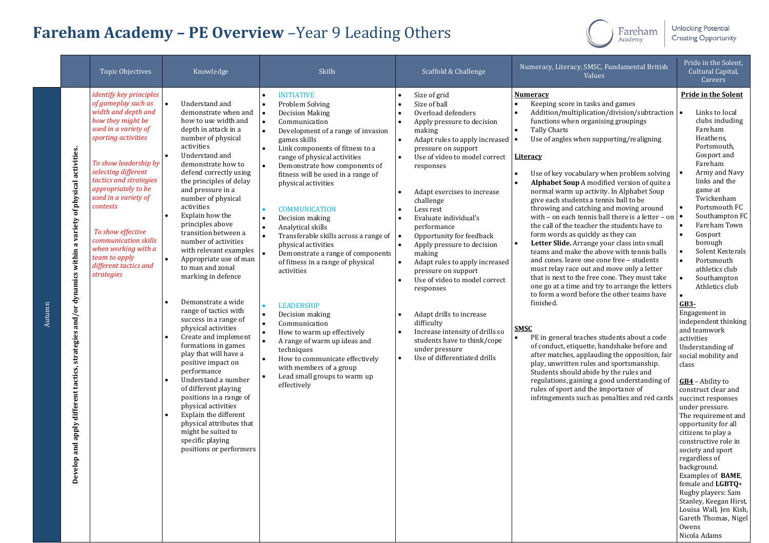## **Fareham Academy – PE Overview** –Year 9 Leading Others



**Unlocking Potential Creating Opportunity** 

|        |                                                                                                                                                       | Topic Objectives                                                                                                                                                                                                                                                                                                                                                                                                  | Knowledge                                                                                                                                                                                                                                                                                                                                                                                                                                                                                                                                                                                                                                                                                                                                                                                                                                                                                                                 | <b>Skills</b>                                                                                                                                                                                                                                                                                                                                                                                                                                                                                                                                                                                                                                                                                                                                                                                                   | Scaffold & Challenge                                                                                                                                                                                                                                                                                                                                                                                                                                                                                                                                                                                                                                                                   | Numeracy, Literacy, SMSC, Fundamental British<br>Values                                                                                                                                                                                                                                                                                                                                                                                                                                                                                                                                                                                                                                                                                                                                                                                                                                                                                                                                                                                                                                                                                                                                                                                                                                                                                          | Pride in the Solent,<br>Cultural Capital,<br>Careers                                                                                                                                                                                                                                                                                                                                                                                                                                                                                                                                                                                                                                                                                                                                                                                                                                                     |
|--------|-------------------------------------------------------------------------------------------------------------------------------------------------------|-------------------------------------------------------------------------------------------------------------------------------------------------------------------------------------------------------------------------------------------------------------------------------------------------------------------------------------------------------------------------------------------------------------------|---------------------------------------------------------------------------------------------------------------------------------------------------------------------------------------------------------------------------------------------------------------------------------------------------------------------------------------------------------------------------------------------------------------------------------------------------------------------------------------------------------------------------------------------------------------------------------------------------------------------------------------------------------------------------------------------------------------------------------------------------------------------------------------------------------------------------------------------------------------------------------------------------------------------------|-----------------------------------------------------------------------------------------------------------------------------------------------------------------------------------------------------------------------------------------------------------------------------------------------------------------------------------------------------------------------------------------------------------------------------------------------------------------------------------------------------------------------------------------------------------------------------------------------------------------------------------------------------------------------------------------------------------------------------------------------------------------------------------------------------------------|----------------------------------------------------------------------------------------------------------------------------------------------------------------------------------------------------------------------------------------------------------------------------------------------------------------------------------------------------------------------------------------------------------------------------------------------------------------------------------------------------------------------------------------------------------------------------------------------------------------------------------------------------------------------------------------|--------------------------------------------------------------------------------------------------------------------------------------------------------------------------------------------------------------------------------------------------------------------------------------------------------------------------------------------------------------------------------------------------------------------------------------------------------------------------------------------------------------------------------------------------------------------------------------------------------------------------------------------------------------------------------------------------------------------------------------------------------------------------------------------------------------------------------------------------------------------------------------------------------------------------------------------------------------------------------------------------------------------------------------------------------------------------------------------------------------------------------------------------------------------------------------------------------------------------------------------------------------------------------------------------------------------------------------------------|----------------------------------------------------------------------------------------------------------------------------------------------------------------------------------------------------------------------------------------------------------------------------------------------------------------------------------------------------------------------------------------------------------------------------------------------------------------------------------------------------------------------------------------------------------------------------------------------------------------------------------------------------------------------------------------------------------------------------------------------------------------------------------------------------------------------------------------------------------------------------------------------------------|
| Autumn | of physical activities.<br>a variety<br>within<br>and/or dynamics<br>strategies<br>different tactics,<br>apply<br>and<br>$\mathbf{e}$<br><b>Devel</b> | <i>identify key principles</i><br>of gameplay such as<br>width and depth and<br>how they might be<br>used in a variety of<br>sporting activities<br>To show leadership by<br>selecting different<br>tactics and strategies<br>appropriately to be<br>used in a variety of<br>contexts<br>To show effective<br>communication skills<br>when working with a<br>team to apply<br>different tactics and<br>strategies | Understand and<br>demonstrate when and<br>how to use width and<br>depth in attack in a<br>number of physical<br>activities<br>Understand and<br>demonstrate how to<br>defend correctly using<br>the principles of delay<br>and pressure in a<br>number of physical<br>activities<br>Explain how the<br>principles above<br>transition between a<br>number of activities<br>with relevant examples<br>Appropriate use of man<br>$\bullet$<br>to man and zonal<br>marking in defence<br>Demonstrate a wide<br>range of tactics with<br>success in a range of<br>physical activities<br>Create and implement<br>formations in games<br>play that will have a<br>positive impact on<br>performance<br>Understand a number<br>of different playing<br>positions in a range of<br>physical activities<br>Explain the different<br>physical attributes that<br>might be suited to<br>specific playing<br>positions or performers | <b>INITIATIVE</b><br>Problem Solving<br><b>Decision Making</b><br>Communication<br>۰.<br>Development of a range of invasion<br>games skills<br>Link components of fitness to a<br>range of physical activities<br>Demonstrate how components of<br>fitness will be used in a range of<br>physical activities<br><b>COMMUNICATION</b><br>Decision making<br>$\bullet$<br>Analytical skills<br>Transferable skills across a range of<br>physical activities<br>Demonstrate a range of components<br>of fitness in a range of physical<br>activities<br><b>LEADERSHIP</b><br>Decision making<br>$\bullet$<br>Communication<br>How to warm up effectively<br>A range of warm up ideas and<br>techniques<br>How to communicate effectively<br>with members of a group<br>Lead small groups to warm up<br>effectively | Size of grid<br>$\bullet$<br>Size of ball<br>Overload defenders<br>Apply pressure to decision<br>making<br>Adapt rules to apply increased   •<br>pressure on support<br>Use of video to model correct<br>responses<br>Adapt exercises to increase<br>challenge<br>Less rest<br>Evaluate individual's<br>performance<br>Opportunity for feedback<br>Apply pressure to decision<br>making<br>Adapt rules to apply increased<br>$\bullet$<br>pressure on support<br>Use of video to model correct<br>responses<br>Adapt drills to increase<br>$\bullet$<br>difficulty<br>Increase intensity of drills so<br>students have to think/cope<br>under pressure<br>Use of differentiated drills | Numeracy<br>Keeping score in tasks and games<br>Addition/multiplication/division/subtraction<br>functions when organising groupings<br>Tally Charts<br>Use of angles when supporting/realigning<br><u>Literacy</u><br>Use of key vocabulary when problem solving<br>Alphabet Soup A modified version of quite a<br>normal warm up activity. In Alphabet Soup<br>give each students a tennis ball to be<br>throwing and catching and moving around<br>with - on each tennis ball there is a letter - on<br>the call of the teacher the students have to<br>form words as quickly as they can<br>Letter Slide. Arrange your class into small<br>teams and make the above with tennis balls<br>and cones. leave one cone free - students<br>must relay race out and move only a letter<br>that is next to the free cone. They must take<br>one go at a time and try to arrange the letters<br>to form a word before the other teams have<br>finished.<br><b>SMSC</b><br>PE in general teaches students about a code<br>of conduct, etiquette, handshake before and<br>after matches, applauding the opposition, fair<br>play, unwritten rules and sportsmanship.<br>Students should abide by the rules and<br>regulations, gaining a good understanding of<br>rules of sport and the importance of<br>infringements such as penalties and red cards | <b>Pride in the Solent</b><br>Links to local<br>clubs including<br>Fareham<br>Heathens,<br>Portsmouth,<br>Gosport and<br>Fareham<br>Army and Navy<br>links and the<br>game at<br>Twickenham<br>Portsmouth FC<br>Southampton FC<br>Fareham Town<br>Gosport<br>borough<br>Solent Kesterals<br>Portsmouth<br>athletics club<br>Southampton<br>Athletics club<br>$GB3-$<br>Engagement in<br>independent thinking<br>and teamwork<br>activities<br>Understanding of<br>social mobility and<br>class<br>GB4 - Ability to<br>construct clear and<br>succinct responses<br>under pressure.<br>The requirement and<br>opportunity for all<br>citizens to play a<br>constructive role in<br>society and sport<br>regardless of<br>background.<br>Examples of BAME,<br>female and LGBTQ+<br>Rugby players: Sam<br>Stanley, Keegan Hirst,<br>Louisa Wall, Jen Kish,<br>Gareth Thomas, Nigel<br>Owens<br>Nicola Adams |